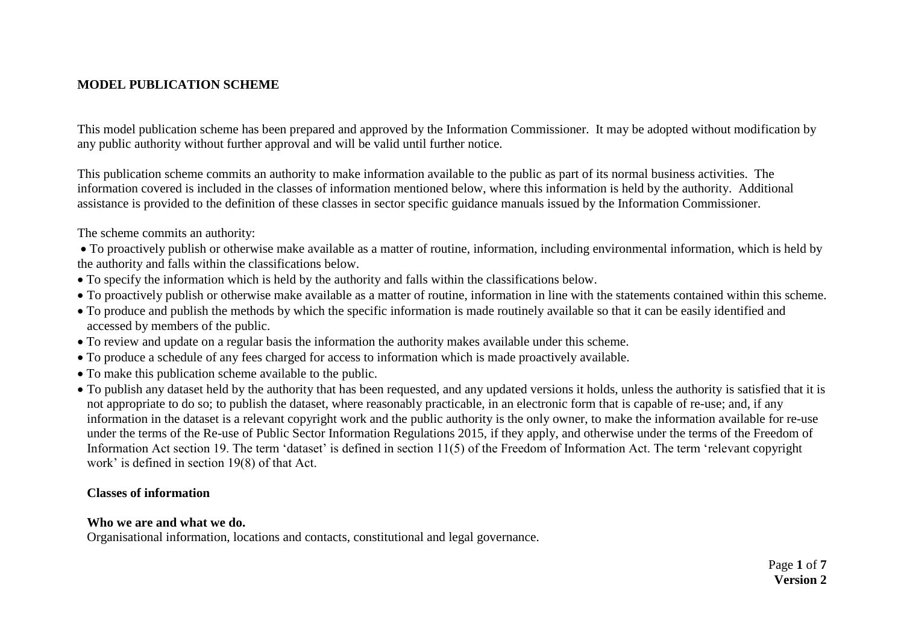### **MODEL PUBLICATION SCHEME**

This model publication scheme has been prepared and approved by the Information Commissioner. It may be adopted without modification by any public authority without further approval and will be valid until further notice.

This publication scheme commits an authority to make information available to the public as part of its normal business activities. The information covered is included in the classes of information mentioned below, where this information is held by the authority. Additional assistance is provided to the definition of these classes in sector specific guidance manuals issued by the Information Commissioner.

The scheme commits an authority:

 To proactively publish or otherwise make available as a matter of routine, information, including environmental information, which is held by the authority and falls within the classifications below.

- To specify the information which is held by the authority and falls within the classifications below.
- To proactively publish or otherwise make available as a matter of routine, information in line with the statements contained within this scheme.
- To produce and publish the methods by which the specific information is made routinely available so that it can be easily identified and accessed by members of the public.
- To review and update on a regular basis the information the authority makes available under this scheme.
- To produce a schedule of any fees charged for access to information which is made proactively available.
- To make this publication scheme available to the public.
- To publish any dataset held by the authority that has been requested, and any updated versions it holds, unless the authority is satisfied that it is not appropriate to do so; to publish the dataset, where reasonably practicable, in an electronic form that is capable of re-use; and, if any information in the dataset is a relevant copyright work and the public authority is the only owner, to make the information available for re-use under the terms of the Re-use of Public Sector Information Regulations 2015, if they apply, and otherwise under the terms of the Freedom of Information Act section 19. The term 'dataset' is defined in section 11(5) of the Freedom of Information Act. The term 'relevant copyright work' is defined in section 19(8) of that Act.

#### **Classes of information**

#### **Who we are and what we do.**

Organisational information, locations and contacts, constitutional and legal governance.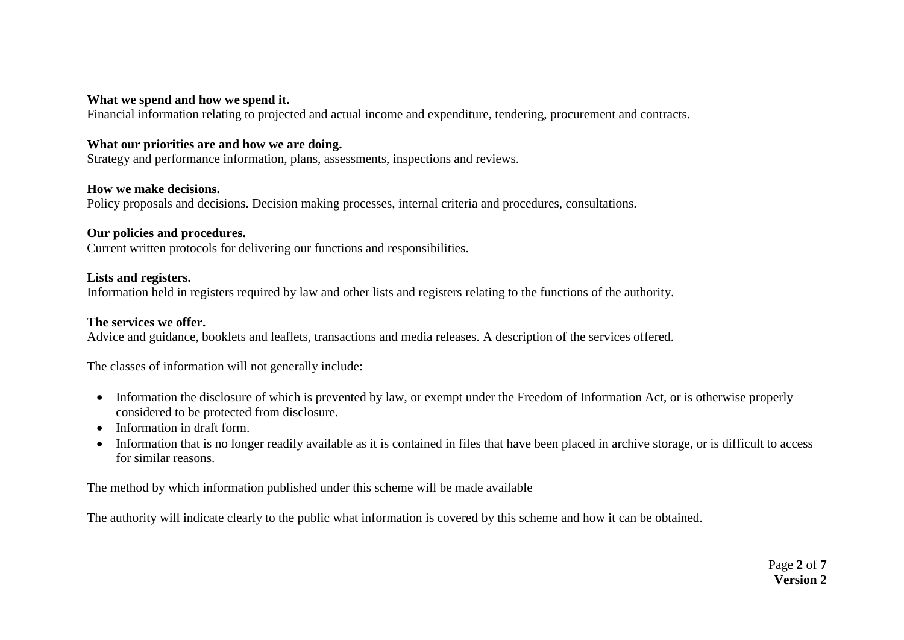#### **What we spend and how we spend it.**

Financial information relating to projected and actual income and expenditure, tendering, procurement and contracts.

#### **What our priorities are and how we are doing.**

Strategy and performance information, plans, assessments, inspections and reviews.

#### **How we make decisions.**

Policy proposals and decisions. Decision making processes, internal criteria and procedures, consultations.

#### **Our policies and procedures.**

Current written protocols for delivering our functions and responsibilities.

#### **Lists and registers.**

Information held in registers required by law and other lists and registers relating to the functions of the authority.

#### **The services we offer.**

Advice and guidance, booklets and leaflets, transactions and media releases. A description of the services offered.

The classes of information will not generally include:

- Information the disclosure of which is prevented by law, or exempt under the Freedom of Information Act, or is otherwise properly considered to be protected from disclosure.
- Information in draft form.
- Information that is no longer readily available as it is contained in files that have been placed in archive storage, or is difficult to access for similar reasons.

The method by which information published under this scheme will be made available

The authority will indicate clearly to the public what information is covered by this scheme and how it can be obtained.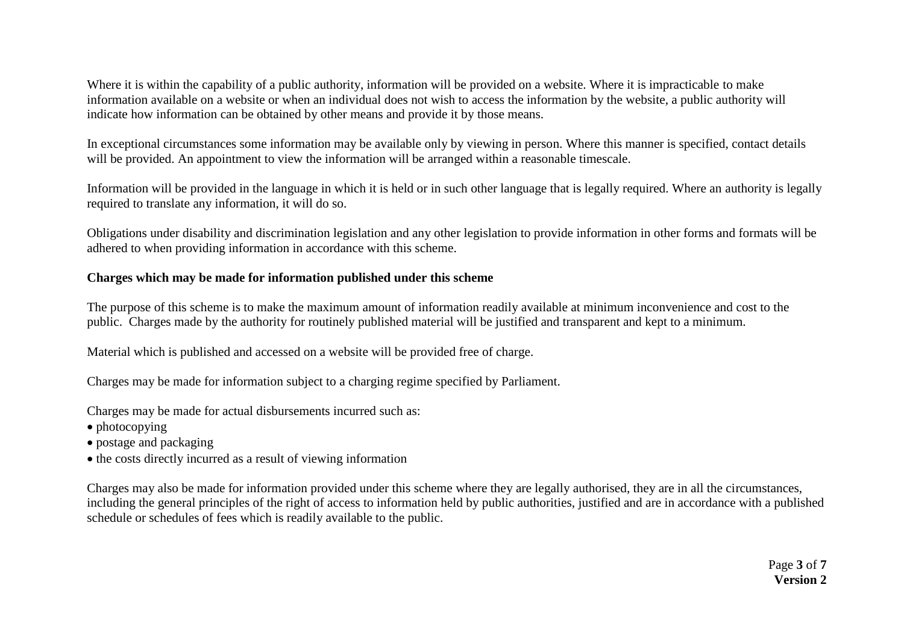Where it is within the capability of a public authority, information will be provided on a website. Where it is impracticable to make information available on a website or when an individual does not wish to access the information by the website, a public authority will indicate how information can be obtained by other means and provide it by those means.

In exceptional circumstances some information may be available only by viewing in person. Where this manner is specified, contact details will be provided. An appointment to view the information will be arranged within a reasonable timescale.

Information will be provided in the language in which it is held or in such other language that is legally required. Where an authority is legally required to translate any information, it will do so.

Obligations under disability and discrimination legislation and any other legislation to provide information in other forms and formats will be adhered to when providing information in accordance with this scheme.

#### **Charges which may be made for information published under this scheme**

The purpose of this scheme is to make the maximum amount of information readily available at minimum inconvenience and cost to the public. Charges made by the authority for routinely published material will be justified and transparent and kept to a minimum.

Material which is published and accessed on a website will be provided free of charge.

Charges may be made for information subject to a charging regime specified by Parliament.

Charges may be made for actual disbursements incurred such as:

- photocopying
- postage and packaging
- the costs directly incurred as a result of viewing information

Charges may also be made for information provided under this scheme where they are legally authorised, they are in all the circumstances, including the general principles of the right of access to information held by public authorities, justified and are in accordance with a published schedule or schedules of fees which is readily available to the public.

> Page **3** of **7 Version 2**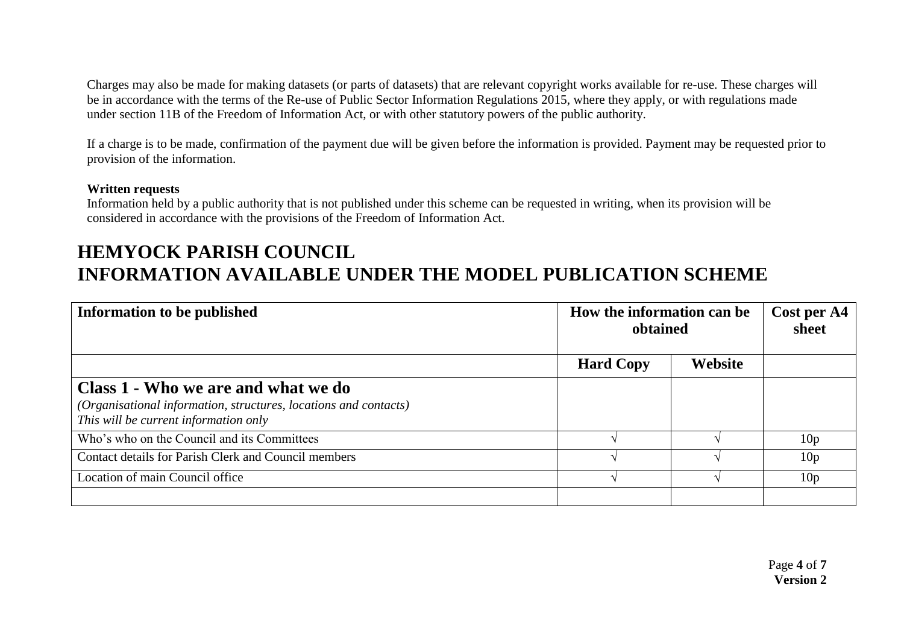Charges may also be made for making datasets (or parts of datasets) that are relevant copyright works available for re-use. These charges will be in accordance with the terms of the Re-use of Public Sector Information Regulations 2015, where they apply, or with regulations made under section 11B of the Freedom of Information Act, or with other statutory powers of the public authority.

If a charge is to be made, confirmation of the payment due will be given before the information is provided. Payment may be requested prior to provision of the information.

#### **Written requests**

Information held by a public authority that is not published under this scheme can be requested in writing, when its provision will be considered in accordance with the provisions of the Freedom of Information Act.

# **HEMYOCK PARISH COUNCIL INFORMATION AVAILABLE UNDER THE MODEL PUBLICATION SCHEME**

| Information to be published                                                                                                                      | How the information can be<br>obtained |         | Cost per A4<br>sheet |
|--------------------------------------------------------------------------------------------------------------------------------------------------|----------------------------------------|---------|----------------------|
|                                                                                                                                                  | <b>Hard Copy</b>                       | Website |                      |
| Class 1 - Who we are and what we do<br>(Organisational information, structures, locations and contacts)<br>This will be current information only |                                        |         |                      |
| Who's who on the Council and its Committees                                                                                                      |                                        |         | 10 <sub>p</sub>      |
| Contact details for Parish Clerk and Council members                                                                                             |                                        |         | 10 <sub>p</sub>      |
| Location of main Council office                                                                                                                  |                                        |         | 10 <sub>p</sub>      |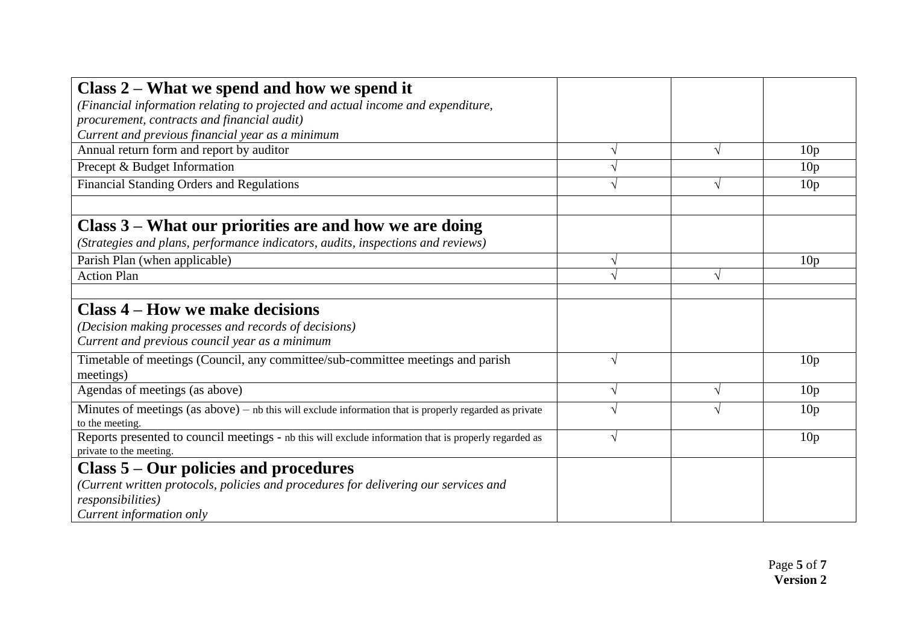| Class $2$ – What we spend and how we spend it                                                                               |           |                 |
|-----------------------------------------------------------------------------------------------------------------------------|-----------|-----------------|
| (Financial information relating to projected and actual income and expenditure,                                             |           |                 |
| procurement, contracts and financial audit)                                                                                 |           |                 |
| Current and previous financial year as a minimum                                                                            |           |                 |
| Annual return form and report by auditor                                                                                    |           | 10 <sub>p</sub> |
| Precept & Budget Information                                                                                                |           | 10 <sub>p</sub> |
| <b>Financial Standing Orders and Regulations</b>                                                                            |           | 10 <sub>p</sub> |
|                                                                                                                             |           |                 |
| Class 3 – What our priorities are and how we are doing                                                                      |           |                 |
| (Strategies and plans, performance indicators, audits, inspections and reviews)                                             |           |                 |
| Parish Plan (when applicable)                                                                                               |           | 10 <sub>p</sub> |
| <b>Action Plan</b>                                                                                                          |           |                 |
|                                                                                                                             |           |                 |
| <b>Class 4 – How we make decisions</b>                                                                                      |           |                 |
| (Decision making processes and records of decisions)                                                                        |           |                 |
| Current and previous council year as a minimum                                                                              |           |                 |
| Timetable of meetings (Council, any committee/sub-committee meetings and parish                                             | V         | 10 <sub>p</sub> |
| meetings)                                                                                                                   |           |                 |
| Agendas of meetings (as above)                                                                                              | $\sqrt{}$ | 10 <sub>p</sub> |
| Minutes of meetings $(as above) - nb$ this will exclude information that is properly regarded as private<br>to the meeting. |           | 10 <sub>p</sub> |
| Reports presented to council meetings - nb this will exclude information that is properly regarded as                       | N         | 10 <sub>p</sub> |
| private to the meeting.                                                                                                     |           |                 |
| Class $5 -$ Our policies and procedures                                                                                     |           |                 |
| (Current written protocols, policies and procedures for delivering our services and                                         |           |                 |
| <i>responsibilities</i> )                                                                                                   |           |                 |
| Current information only                                                                                                    |           |                 |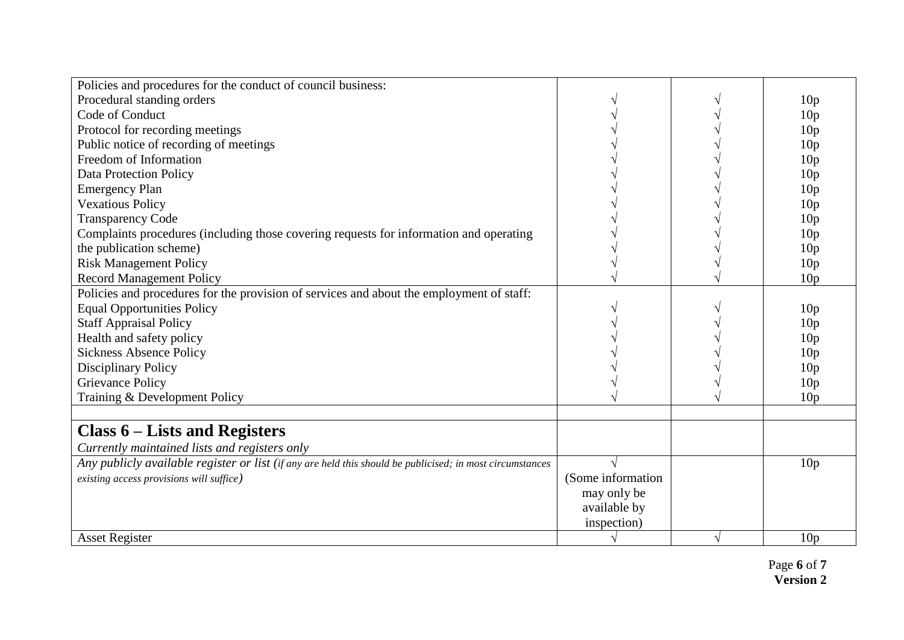| Policies and procedures for the conduct of council business:                                              |                   |                 |
|-----------------------------------------------------------------------------------------------------------|-------------------|-----------------|
| Procedural standing orders                                                                                |                   | 10 <sub>p</sub> |
| Code of Conduct                                                                                           |                   | 10 <sub>p</sub> |
| Protocol for recording meetings                                                                           |                   | 10 <sub>p</sub> |
| Public notice of recording of meetings                                                                    |                   | 10 <sub>p</sub> |
| Freedom of Information                                                                                    |                   | 10 <sub>p</sub> |
| <b>Data Protection Policy</b>                                                                             |                   | 10 <sub>p</sub> |
| <b>Emergency Plan</b>                                                                                     |                   | 10 <sub>p</sub> |
| <b>Vexatious Policy</b>                                                                                   |                   | 10 <sub>p</sub> |
| <b>Transparency Code</b>                                                                                  |                   | 10 <sub>p</sub> |
| Complaints procedures (including those covering requests for information and operating                    |                   | 10 <sub>p</sub> |
| the publication scheme)                                                                                   |                   | 10 <sub>p</sub> |
| <b>Risk Management Policy</b>                                                                             |                   | 10 <sub>p</sub> |
| <b>Record Management Policy</b>                                                                           |                   | 10 <sub>p</sub> |
| Policies and procedures for the provision of services and about the employment of staff:                  |                   |                 |
| <b>Equal Opportunities Policy</b>                                                                         |                   | 10 <sub>p</sub> |
| <b>Staff Appraisal Policy</b>                                                                             |                   | 10 <sub>p</sub> |
| Health and safety policy                                                                                  |                   | 10 <sub>p</sub> |
| <b>Sickness Absence Policy</b>                                                                            |                   | 10 <sub>p</sub> |
| <b>Disciplinary Policy</b>                                                                                |                   | 10 <sub>p</sub> |
| <b>Grievance Policy</b>                                                                                   |                   | 10 <sub>p</sub> |
| Training & Development Policy                                                                             |                   | 10 <sub>p</sub> |
|                                                                                                           |                   |                 |
| Class $6$ – Lists and Registers                                                                           |                   |                 |
| Currently maintained lists and registers only                                                             |                   |                 |
| Any publicly available register or list (if any are held this should be publicised; in most circumstances |                   | 10 <sub>p</sub> |
| existing access provisions will suffice)                                                                  | (Some information |                 |
|                                                                                                           | may only be       |                 |
|                                                                                                           | available by      |                 |
|                                                                                                           | inspection)       |                 |
| <b>Asset Register</b>                                                                                     |                   | 10 <sub>p</sub> |